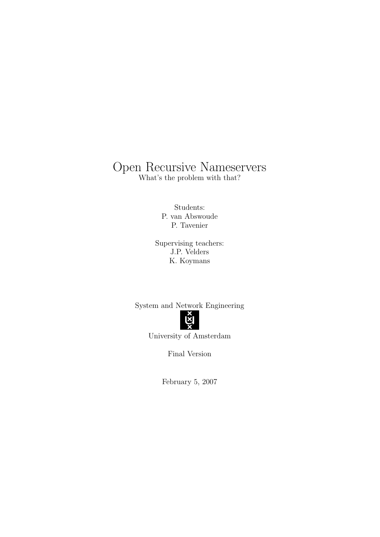# Open Recursive Nameservers What's the problem with that?

Students: P. van Abswoude P. Tavenier

Supervising teachers: J.P. Velders K. Koymans

System and Network Engineering



University of Amsterdam

Final Version

February 5, 2007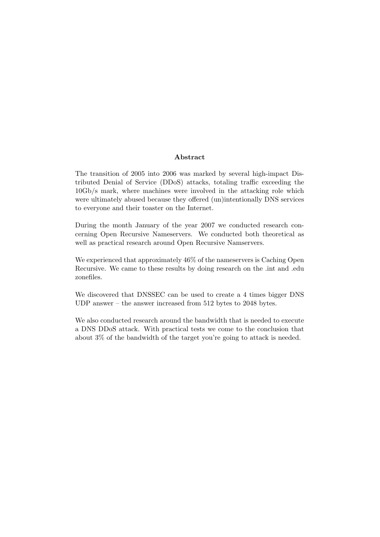#### Abstract

The transition of 2005 into 2006 was marked by several high-impact Distributed Denial of Service (DDoS) attacks, totaling traffic exceeding the 10Gb/s mark, where machines were involved in the attacking role which were ultimately abused because they offered (un)intentionally DNS services to everyone and their toaster on the Internet.

During the month January of the year 2007 we conducted research concerning Open Recursive Nameservers. We conducted both theoretical as well as practical research around Open Recursive Namservers.

We experienced that approximately 46% of the nameservers is Caching Open Recursive. We came to these results by doing research on the .int and .edu zonefiles.

We discovered that DNSSEC can be used to create a 4 times bigger DNS UDP answer – the answer increased from 512 bytes to 2048 bytes.

We also conducted research around the bandwidth that is needed to execute a DNS DDoS attack. With practical tests we come to the conclusion that about 3% of the bandwidth of the target you're going to attack is needed.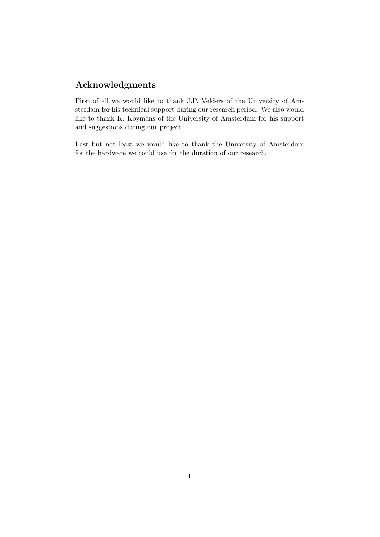# Acknowledgments

First of all we would like to thank J.P. Velders of the University of Amsterdam for his technical support during our research period. We also would like to thank K. Koymans of the University of Amsterdam for his support and suggestions during our project.

Last but not least we would like to thank the University of Amsterdam for the hardware we could use for the duration of our research.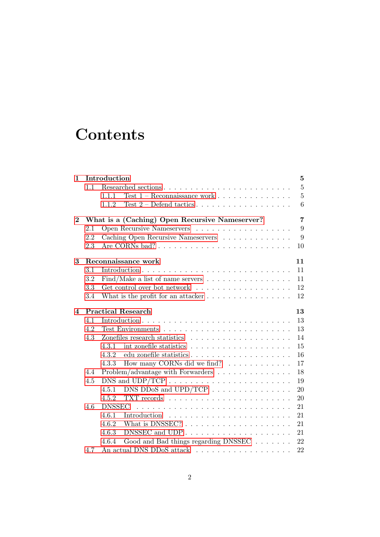# **Contents**

| $\mathbf{1}$   |         | Introduction                                                                            | $\bf{5}$       |
|----------------|---------|-----------------------------------------------------------------------------------------|----------------|
|                | 1.1     |                                                                                         | $\overline{5}$ |
|                |         | Test $1 -$ Reconnaissance work<br>1.1.1                                                 | $\overline{5}$ |
|                |         | Test $2$ – Defend tactics<br>1.1.2                                                      | 6              |
| $\bf{2}$       |         | What is a (Caching) Open Recursive Nameserver?                                          | 7              |
|                | $2.1\,$ |                                                                                         | 9              |
|                | 2.2     | Caching Open Recursive Nameservers                                                      | 9              |
|                | 2.3     |                                                                                         | 10             |
| 3              |         | Reconnaissance work                                                                     | 11             |
|                | 3.1     |                                                                                         | 11             |
|                | 3.2     | Find/Make a list of name servers $\dots \dots \dots \dots \dots$                        | 11             |
|                | 3.3     | Get control over bot network                                                            | 12             |
|                | 3.4     | What is the profit for an attacker $\dots \dots \dots \dots \dots \dots$                | 12             |
| $\overline{4}$ |         | <b>Practical Research</b>                                                               | 13             |
|                | 4.1     |                                                                                         | 13             |
|                | 4.2     |                                                                                         | 13             |
|                | 4.3     |                                                                                         | 14             |
|                |         | 4.3.1                                                                                   | 15             |
|                |         | 4.3.2                                                                                   | 16             |
|                |         | How many CORNs did we find?<br>4.3.3                                                    | 17             |
|                | 4.4     | Problem/advantage with Forwarders                                                       | 18             |
|                | 4.5     |                                                                                         | 19             |
|                |         | DNS DDoS and UPD/TCP $\;\ldots\; \ldots\; \ldots\; \ldots\; \ldots\; \ldots\;$<br>4.5.1 | 20             |
|                |         | 4.5.2                                                                                   | 20             |
|                | 4.6     | <b>DNSSEC</b>                                                                           | 21             |
|                |         | 4.6.1                                                                                   | 21             |
|                |         | 4.6.2                                                                                   | 21             |
|                |         | DNSSEC and UDP $\ldots \ldots \ldots \ldots \ldots \ldots \ldots$<br>4.6.3              | 21             |
|                |         | Good and Bad things regarding DNSSEC $\hfill\ldots\ldots\ldots$<br>4.6.4                | 22             |
|                | 4.7     | An actual DNS DDoS attack $\ldots \ldots \ldots \ldots \ldots \ldots$                   | 22             |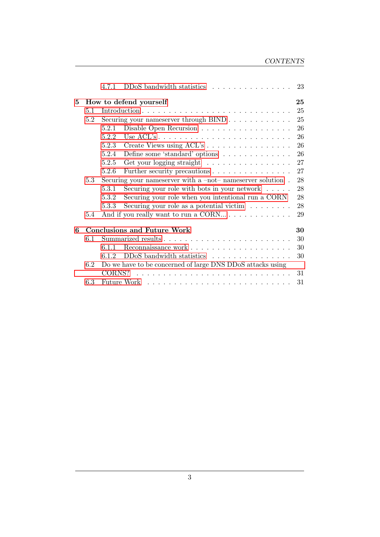|   |     | $DDoS$ bandwidth statistics $\ldots \ldots \ldots \ldots \ldots$<br>4.7.1                                       | 23 |
|---|-----|-----------------------------------------------------------------------------------------------------------------|----|
| 5 |     | How to defend yourself                                                                                          | 25 |
|   | 5.1 |                                                                                                                 | 25 |
|   | 5.2 | Securing your nameserver through BIND                                                                           | 25 |
|   |     | Disable Open Recursion<br>5.2.1                                                                                 | 26 |
|   |     | Use $ACL$ 's $\ldots$ $\ldots$ $\ldots$ $\ldots$ $\ldots$ $\ldots$ $\ldots$ $\ldots$ $\ldots$ $\ldots$<br>5.2.2 | 26 |
|   |     | 5.2.3                                                                                                           | 26 |
|   |     | 5.2.4<br>Define some 'standard' options $\ldots \ldots \ldots \ldots$                                           | 26 |
|   |     | 5.2.5<br>Get your logging straight                                                                              | 27 |
|   |     | 5.2.6<br>Further security precautions                                                                           | 27 |
|   | 5.3 | Securing your names erver with a $-$ not-names erver solution.                                                  | 28 |
|   |     | 5.3.1<br>Securing your role with bots in your network $\dots$ .                                                 | 28 |
|   |     | Securing your role when you intentional run a CORN<br>5.3.2                                                     | 28 |
|   |     | Securing your role as a potential victim $\ldots \ldots$<br>5.3.3                                               | 28 |
|   | 5.4 | And if you really want to run a CORN                                                                            | 29 |
| 6 |     | <b>Conclusions and Future Work</b>                                                                              | 30 |
|   | 6.1 |                                                                                                                 | 30 |
|   |     | 6.1.1                                                                                                           | 30 |
|   |     | $DDoS$ bandwidth statistics<br>6.1.2                                                                            | 30 |
|   | 6.2 | Do we have to be concerned of large DNS DDoS attacks using                                                      |    |
|   |     | CORNS?                                                                                                          | 31 |
|   | 6.3 |                                                                                                                 | 31 |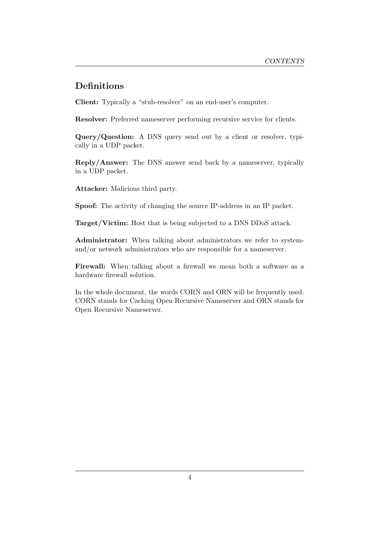## Definitions

Client: Typically a "stub-resolver" on an end-user's computer.

Resolver: Preferred nameserver performing recursive service for clients.

Query/Question: A DNS query send out by a client or resolver, typically in a UDP packet.

Reply/Answer: The DNS answer send back by a nameserver, typically in a UDP packet.

Attacker: Malicious third party.

Spoof: The activity of changing the source IP-address in an IP packet.

Target/Victim: Host that is being subjected to a DNS DDoS attack.

Administrator: When talking about administrators we refer to systemand/or network administrators who are responsible for a nameserver.

Firewall: When talking about a firewall we mean both a software as a hardware firewall solution.

In the whole document, the words CORN and ORN will be frequently used. CORN stands for Caching Open Recursive Nameserver and ORN stands for Open Recursive Nameserver.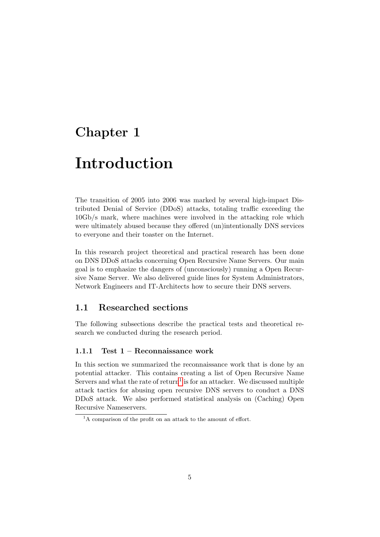# <span id="page-6-0"></span>Chapter 1

# Introduction

The transition of 2005 into 2006 was marked by several high-impact Distributed Denial of Service (DDoS) attacks, totaling traffic exceeding the 10Gb/s mark, where machines were involved in the attacking role which were ultimately abused because they offered (un)intentionally DNS services to everyone and their toaster on the Internet.

In this research project theoretical and practical research has been done on DNS DDoS attacks concerning Open Recursive Name Servers. Our main goal is to emphasize the dangers of (unconsciously) running a Open Recursive Name Server. We also delivered guide lines for System Administrators, Network Engineers and IT-Architects how to secure their DNS servers.

### <span id="page-6-1"></span>1.1 Researched sections

The following subsections describe the practical tests and theoretical research we conducted during the research period.

#### <span id="page-6-2"></span>1.1.1 Test 1 – Reconnaissance work

In this section we summarized the reconnaissance work that is done by an potential attacker. This contains creating a list of Open Recursive Name Servers and what the rate of return<sup>[1](#page-6-3)</sup> is for an attacker. We discussed multiple attack tactics for abusing open recursive DNS servers to conduct a DNS DDoS attack. We also performed statistical analysis on (Caching) Open Recursive Nameservers.

<span id="page-6-3"></span><sup>&</sup>lt;sup>1</sup>A comparison of the profit on an attack to the amount of effort.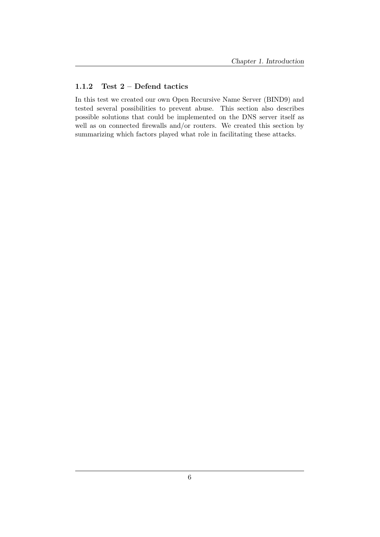#### <span id="page-7-0"></span>1.1.2 Test 2 – Defend tactics

In this test we created our own Open Recursive Name Server (BIND9) and tested several possibilities to prevent abuse. This section also describes possible solutions that could be implemented on the DNS server itself as well as on connected firewalls and/or routers. We created this section by summarizing which factors played what role in facilitating these attacks.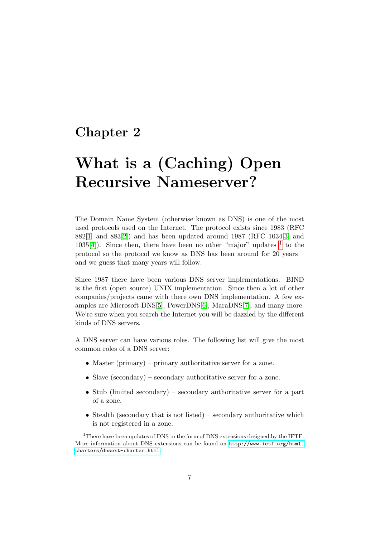# <span id="page-8-0"></span>Chapter 2

# What is a (Caching) Open Recursive Nameserver?

The Domain Name System (otherwise known as DNS) is one of the most used protocols used on the Internet. The protocol exists since 1983 (RFC  $882[1]$  $882[1]$  and  $883[2]$  $883[2]$  and has been updated around 1987 (RFC 1034[\[3\]](#page-34-2) and 1035[\[4\]](#page-34-3)). Since then, there have been no other "major" updates  $<sup>1</sup>$  $<sup>1</sup>$  $<sup>1</sup>$  to the</sup> protocol so the protocol we know as DNS has been around for 20 years – and we guess that many years will follow.

Since 1987 there have been various DNS server implementations. BIND is the first (open source) UNIX implementation. Since then a lot of other companies/projects came with there own DNS implementation. A few examples are Microsoft DNS[\[5\]](#page-34-4), PowerDNS[\[6\]](#page-34-5), MaraDNS[\[7\]](#page-34-6), and many more. We're sure when you search the Internet you will be dazzled by the different kinds of DNS servers.

A DNS server can have various roles. The following list will give the most common roles of a DNS server:

- Master (primary) primary authoritative server for a zone.
- Slave (secondary) secondary authoritative server for a zone.
- Stub (limited secondary) secondary authoritative server for a part of a zone.
- Stealth (secondary that is not listed) secondary authoritative which is not registered in a zone.

<span id="page-8-1"></span><sup>&</sup>lt;sup>1</sup>There have been updates of DNS in the form of DNS extensions designed by the IETF. More information about DNS extensions can be found on [http://www.ietf.org/html.](http://www.ietf.org/html.charters/dnsext-charter.html) [charters/dnsext-charter.html](http://www.ietf.org/html.charters/dnsext-charter.html).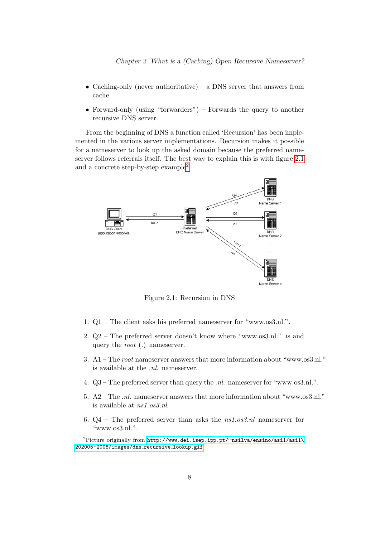- Caching-only (never authoritative) a DNS server that answers from cache.
- Forward-only (using "forwarders") Forwards the query to another recursive DNS server.

From the beginning of DNS a function called 'Recursion' has been implemented in the various server implementations. Recursion makes it possible for a nameserver to look up the asked domain because the preferred nameserver follows referrals itself. The best way to explain this is with figure [2.1](#page-9-0) and a concrete step-by-step example<sup>[2](#page-9-1)</sup>.



<span id="page-9-0"></span>Figure 2.1: Recursion in DNS

- 1. Q1 The client asks his preferred nameserver for "www.os3.nl.".
- 2. Q2 The preferred server doesn't know where "www.os3.nl." is and query the root (.) nameserver.
- 3. A1 The root nameserver answers that more information about "www.os3.nl." is available at the .nl. nameserver.
- 4. Q3 The preferred server than query the .nl. nameserver for "www.os3.nl.".
- 5. A2 The .nl. nameserver answers that more information about "www.os3.nl." is available at ns1.os3.nl.
- 6.  $Q4$  The preferred server than asks the  $ns1.os3.nl$  nameserver for "www.os3.nl.".

<span id="page-9-1"></span><sup>2</sup>Picture originally from [http://www.dei.isep.ipp.pt/](http://www.dei.isep.ipp.pt/~nsilva/ensino/asi1/asi1%202005-2006/images/dns_recursive_lookup.gif)<sup>∼</sup>nsilva/ensino/asi1/asi1% [202005-2006/images/dns](http://www.dei.isep.ipp.pt/~nsilva/ensino/asi1/asi1%202005-2006/images/dns_recursive_lookup.gif) recursive lookup.gif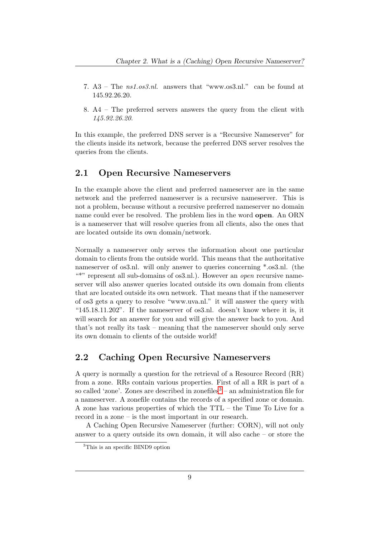- 7. A3 The ns1.os3.nl. answers that "www.os3.nl." can be found at 145.92.26.20.
- 8. A4 The preferred servers answers the query from the client with 145.92.26.20.

In this example, the preferred DNS server is a "Recursive Nameserver" for the clients inside its network, because the preferred DNS server resolves the queries from the clients.

#### <span id="page-10-0"></span>2.1 Open Recursive Nameservers

In the example above the client and preferred nameserver are in the same network and the preferred nameserver is a recursive nameserver. This is not a problem, because without a recursive preferred nameserver no domain name could ever be resolved. The problem lies in the word open. An ORN is a nameserver that will resolve queries from all clients, also the ones that are located outside its own domain/network.

Normally a nameserver only serves the information about one particular domain to clients from the outside world. This means that the authoritative nameserver of os3.nl. will only answer to queries concerning \*.os3.nl. (the  $***$  represent all sub-domains of os3.nl.). However an *open* recursive nameserver will also answer queries located outside its own domain from clients that are located outside its own network. That means that if the nameserver of os3 gets a query to resolve "www.uva.nl." it will answer the query with "145.18.11.202". If the nameserver of os3.nl. doesn't know where it is, it will search for an answer for you and will give the answer back to you. And that's not really its task – meaning that the nameserver should only serve its own domain to clients of the outside world!

### <span id="page-10-1"></span>2.2 Caching Open Recursive Nameservers

A query is normally a question for the retrieval of a Resource Record (RR) from a zone. RRs contain various properties. First of all a RR is part of a so called 'zone'. Zones are described in zonefiles<sup>[3](#page-10-2)</sup> – an administration file for a nameserver. A zonefile contains the records of a specified zone or domain. A zone has various properties of which the TTL – the Time To Live for a record in a zone – is the most important in our research.

A Caching Open Recursive Nameserver (further: CORN), will not only answer to a query outside its own domain, it will also cache – or store the

<span id="page-10-2"></span><sup>&</sup>lt;sup>3</sup>This is an specific BIND9 option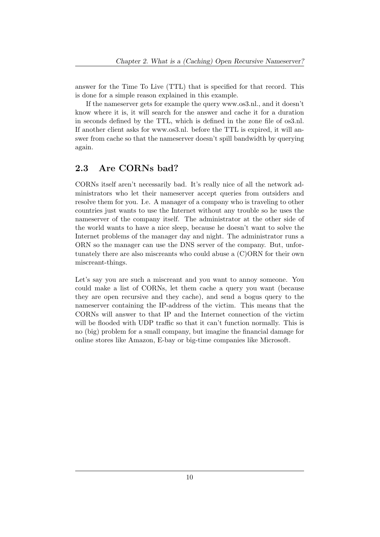answer for the Time To Live (TTL) that is specified for that record. This is done for a simple reason explained in this example.

If the nameserver gets for example the query www.os3.nl., and it doesn't know where it is, it will search for the answer and cache it for a duration in seconds defined by the TTL, which is defined in the zone file of os3.nl. If another client asks for www.os3.nl. before the TTL is expired, it will answer from cache so that the nameserver doesn't spill bandwidth by querying again.

### <span id="page-11-0"></span>2.3 Are CORNs bad?

CORNs itself aren't necessarily bad. It's really nice of all the network administrators who let their nameserver accept queries from outsiders and resolve them for you. I.e. A manager of a company who is traveling to other countries just wants to use the Internet without any trouble so he uses the nameserver of the company itself. The administrator at the other side of the world wants to have a nice sleep, because he doesn't want to solve the Internet problems of the manager day and night. The administrator runs a ORN so the manager can use the DNS server of the company. But, unfortunately there are also miscreants who could abuse a (C)ORN for their own miscreant-things.

Let's say you are such a miscreant and you want to annoy someone. You could make a list of CORNs, let them cache a query you want (because they are open recursive and they cache), and send a bogus query to the nameserver containing the IP-address of the victim. This means that the CORNs will answer to that IP and the Internet connection of the victim will be flooded with UDP traffic so that it can't function normally. This is no (big) problem for a small company, but imagine the financial damage for online stores like Amazon, E-bay or big-time companies like Microsoft.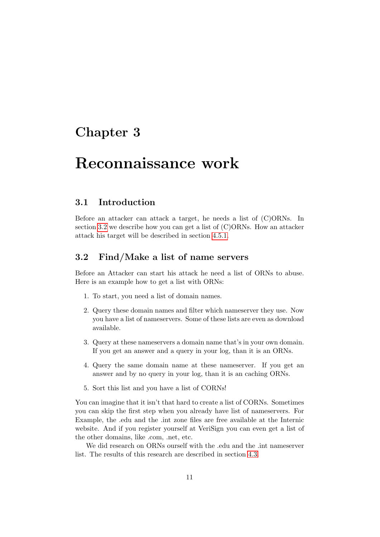# <span id="page-12-0"></span>Chapter 3

# Reconnaissance work

### <span id="page-12-1"></span>3.1 Introduction

Before an attacker can attack a target, he needs a list of (C)ORNs. In section [3.2](#page-12-2) we describe how you can get a list of (C)ORNs. How an attacker attack his target will be described in section [4.5.1.](#page-21-0)

## <span id="page-12-2"></span>3.2 Find/Make a list of name servers

Before an Attacker can start his attack he need a list of ORNs to abuse. Here is an example how to get a list with ORNs:

- 1. To start, you need a list of domain names.
- 2. Query these domain names and filter which nameserver they use. Now you have a list of nameservers. Some of these lists are even as download available.
- 3. Query at these nameservers a domain name that's in your own domain. If you get an answer and a query in your log, than it is an ORNs.
- 4. Query the same domain name at these nameserver. If you get an answer and by no query in your log, than it is an caching ORNs.
- 5. Sort this list and you have a list of CORNs!

You can imagine that it isn't that hard to create a list of CORNs. Sometimes you can skip the first step when you already have list of nameservers. For Example, the .edu and the .int zone files are free available at the Internic website. And if you register yourself at VeriSign you can even get a list of the other domains, like .com, .net, etc.

We did research on ORNs ourself with the .edu and the .int nameserver list. The results of this research are described in section [4.3.](#page-15-0)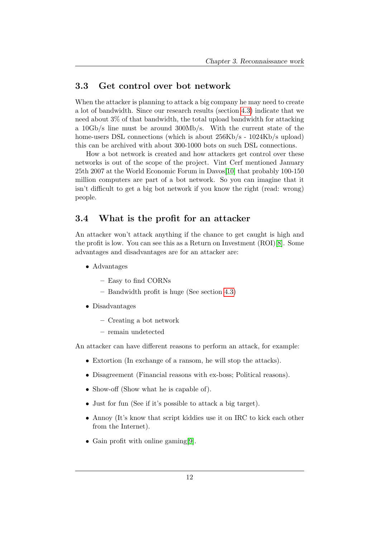#### <span id="page-13-0"></span>3.3 Get control over bot network

When the attacker is planning to attack a big company he may need to create a lot of bandwidth. Since our research results (section [4.3\)](#page-15-0) indicate that we need about 3% of that bandwidth, the total upload bandwidth for attacking a 10Gb/s line must be around 300Mb/s. With the current state of the home-users DSL connections (which is about  $256\text{Kb/s}$  -  $1024\text{Kb/s}$  upload) this can be archived with about 300-1000 bots on such DSL connections.

How a bot network is created and how attackers get control over these networks is out of the scope of the project. Vint Cerf mentioned January 25th 2007 at the World Economic Forum in Davos[\[10\]](#page-34-7) that probably 100-150 million computers are part of a bot network. So you can imagine that it isn't difficult to get a big bot network if you know the right (read: wrong) people.

#### <span id="page-13-1"></span>3.4 What is the profit for an attacker

An attacker won't attack anything if the chance to get caught is high and the profit is low. You can see this as a Return on Investment (ROI)[\[8\]](#page-34-8). Some advantages and disadvantages are for an attacker are:

- Advantages
	- Easy to find CORNs
	- Bandwidth profit is huge (See section [4.3\)](#page-15-0)
- Disadvantages
	- Creating a bot network
	- remain undetected

An attacker can have different reasons to perform an attack, for example:

- Extortion (In exchange of a ransom, he will stop the attacks).
- Disagreement (Financial reasons with ex-boss; Political reasons).
- Show-off (Show what he is capable of).
- Just for fun (See if it's possible to attack a big target).
- Annoy (It's know that script kiddies use it on IRC to kick each other from the Internet).
- Gain profit with online gaming [\[9\]](#page-34-9).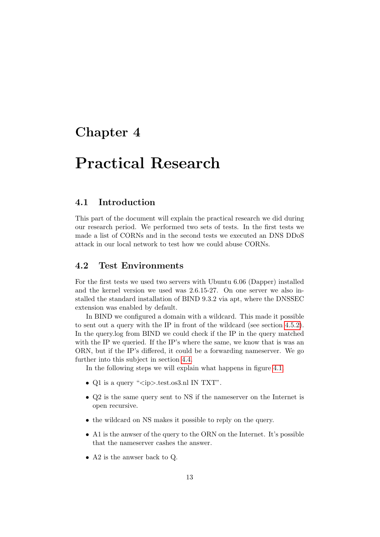# <span id="page-14-0"></span>Chapter 4

# Practical Research

### <span id="page-14-1"></span>4.1 Introduction

This part of the document will explain the practical research we did during our research period. We performed two sets of tests. In the first tests we made a list of CORNs and in the second tests we executed an DNS DDoS attack in our local network to test how we could abuse CORNs.

#### <span id="page-14-2"></span>4.2 Test Environments

For the first tests we used two servers with Ubuntu 6.06 (Dapper) installed and the kernel version we used was 2.6.15-27. On one server we also installed the standard installation of BIND 9.3.2 via apt, where the DNSSEC extension was enabled by default.

In BIND we configured a domain with a wildcard. This made it possible to sent out a query with the IP in front of the wildcard (see section [4.5.2\)](#page-21-1). In the query.log from BIND we could check if the IP in the query matched with the IP we queried. If the IP's where the same, we know that is was an ORN, but if the IP's differed, it could be a forwarding nameserver. We go further into this subject in section [4.4.](#page-19-0)

In the following steps we will explain what happens in figure [4.1.](#page-15-1)

- Q1 is a query " $\langle ip \rangle$  test.os3.nl IN TXT".
- Q2 is the same query sent to NS if the nameserver on the Internet is open recursive.
- the wildcard on NS makes it possible to reply on the query.
- A1 is the anwser of the query to the ORN on the Internet. It's possible that the nameserver cashes the answer.
- A2 is the anwser back to Q.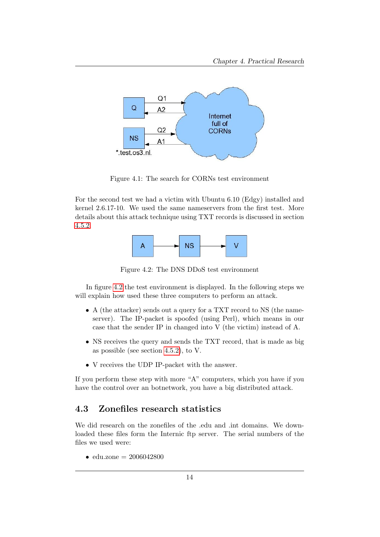

<span id="page-15-1"></span>Figure 4.1: The search for CORNs test environment

For the second test we had a victim with Ubuntu 6.10 (Edgy) installed and kernel 2.6.17-10. We used the same nameservers from the first test. More details about this attack technique using TXT records is discussed in section [4.5.2.](#page-21-1)



<span id="page-15-2"></span>Figure 4.2: The DNS DDoS test environment

In figure [4.2](#page-15-2) the test environment is displayed. In the following steps we will explain how used these three computers to perform an attack.

- A (the attacker) sends out a query for a TXT record to NS (the nameserver). The IP-packet is spoofed (using Perl), which means in our case that the sender IP in changed into V (the victim) instead of A.
- NS receives the query and sends the TXT record, that is made as big as possible (see section [4.5.2\)](#page-21-1), to V.
- V receives the UDP IP-packet with the answer.

If you perform these step with more "A" computers, which you have if you have the control over an botnetwork, you have a big distributed attack.

## <span id="page-15-0"></span>4.3 Zonefiles research statistics

We did research on the zonefiles of the .edu and .int domains. We downloaded these files form the Internic ftp server. The serial numbers of the files we used were:

• edu.zone =  $2006042800$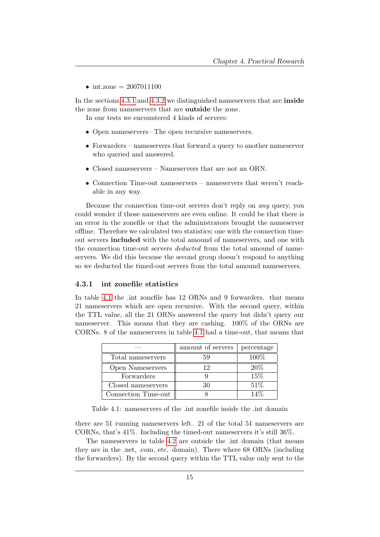• int.zone =  $2007011100$ 

In the sections [4.3.1](#page-16-0) and [4.3.2](#page-17-0) we distinguished nameservers that are **inside** the zone from nameservers that are outside the zone.

In our tests we encountered 4 kinds of servers:

- Open nameservers– The open recursive nameservers.
- Forwarders nameservers that forward a query to another nameserver who queried and answered.
- Closed nameservers Nameservers that are not an ORN.
- Connection Time-out nameservers nameservers that weren't reachable in any way.

Because the connection time-out servers don't reply on any query, you could wonder if those nameservers are even online. It could be that there is an error in the zonefile or that the administrators brought the nameserver offline. Therefore we calculated two statistics; one with the connection timeout servers included with the total amound of nameservers, and one with the connection time-out servers deducted from the total amound of nameservers. We did this because the second group doesn't respond to anything so we deducted the timed-out servers from the total amound nameservers.

#### <span id="page-16-0"></span>4.3.1 int zonefile statistics

In table [4.1](#page-16-1) the .int zonefile has 12 ORNs and 9 forwarders. that means 21 nameservers which are open recursive. With the second query, within the TTL value, all the 21 ORNs answered the query but didn't query our nameserver. This means that they are cashing. 100% of the ORNs are CORNs. 8 of the nameservers in table [4.1](#page-16-1) had a time-out, that means that

|                     | amount of servers | percentage |  |
|---------------------|-------------------|------------|--|
| Total nameservers   | 59                | 100%       |  |
| Open Nameservers    | 19                | 20%        |  |
| Forwarders          |                   | 15%        |  |
| Closed nameservers  | 30                | 51\%       |  |
| Connection Time-out |                   | $14\%$     |  |

<span id="page-16-1"></span>Table 4.1: nameservers of the .int zonefile inside the .int domain

there are 51 running nameservers left. 21 of the total 51 nameservers are CORNs, that's 41%. Including the timed-out nameservers it's still 36%.

The nameservers in table [4.2](#page-17-1) are outside the .int domain (that means they are in the .net, .com, etc. domain). There where 68 ORNs (including the forwarders). By the second query within the TTL value only sent to the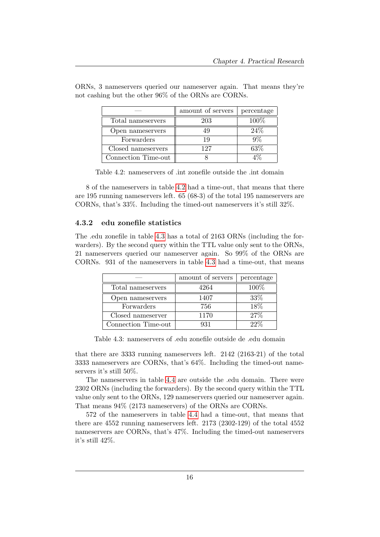|                     | amount of servers | percentage |  |
|---------------------|-------------------|------------|--|
| Total nameservers   | 203               | 100%       |  |
| Open nameservers    |                   | 24%        |  |
| Forwarders          | 19                | $9\%$      |  |
| Closed nameservers  | 127               | 63%        |  |
| Connection Time-out |                   |            |  |

ORNs, 3 nameservers queried our nameserver again. That means they're not cashing but the other 96% of the ORNs are CORNs.

<span id="page-17-1"></span>Table 4.2: nameservers of .int zonefile outside the .int domain

8 of the nameservers in table [4.2](#page-17-1) had a time-out, that means that there are 195 running nameservers left. 65 (68-3) of the total 195 nameservers are CORNs, that's 33%. Including the timed-out nameservers it's still 32%.

#### <span id="page-17-0"></span>4.3.2 edu zonefile statistics

The .edu zonefile in table [4.3](#page-17-2) has a total of 2163 ORNs (including the forwarders). By the second query within the TTL value only sent to the ORNs, 21 nameservers queried our nameserver again. So 99% of the ORNs are CORNs. 931 of the nameservers in table [4.3](#page-17-2) had a time-out, that means

|                     | amount of servers | percentage |  |
|---------------------|-------------------|------------|--|
| Total nameservers   | 4264              | 100%       |  |
| Open nameservers    | 1407              | 33%        |  |
| Forwarders          | 756               | 18%        |  |
| Closed nameserver   | 1170              | 27%        |  |
| Connection Time-out | 031               | $22\%$     |  |

<span id="page-17-2"></span>Table 4.3: nameservers of .edu zonefile outside de .edu domain

that there are 3333 running nameservers left. 2142 (2163-21) of the total 3333 nameservers are CORNs, that's 64%. Including the timed-out nameservers it's still 50%.

The nameservers in table [4.4](#page-18-1) are outside the .edu domain. There were 2302 ORNs (including the forwarders). By the second query within the TTL value only sent to the ORNs, 129 nameservers queried our nameserver again. That means 94% (2173 nameservers) of the ORNs are CORNs.

572 of the nameservers in table [4.4](#page-18-1) had a time-out, that means that there are 4552 running nameservers left. 2173 (2302-129) of the total 4552 nameservers are CORNs, that's 47%. Including the timed-out nameservers it's still 42%.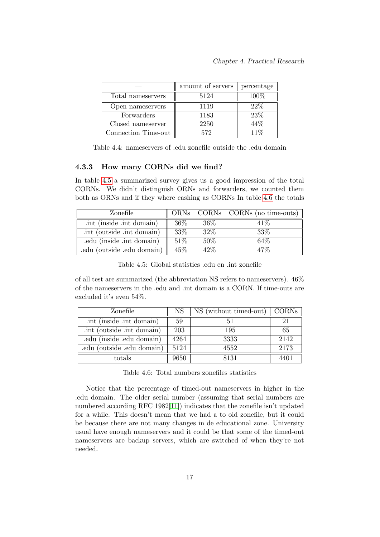|                     | amount of servers | percentage |  |
|---------------------|-------------------|------------|--|
| Total nameservers   | 5124              | 100%       |  |
| Open nameservers    | 1119              | 22%        |  |
| Forwarders          | 1183              | 23\%       |  |
| Closed nameserver   | 2250              | 44\%       |  |
| Connection Time-out | 572               | $11\%$     |  |

<span id="page-18-1"></span>Table 4.4: nameservers of .edu zonefile outside the .edu domain

#### <span id="page-18-0"></span>4.3.3 How many CORNs did we find?

In table [4.5](#page-18-2) a summarized survey gives us a good impression of the total CORNs. We didn't distinguish ORNs and forwarders, we counted them both as ORNs and if they where cashing as CORNs In table [4.6](#page-18-3) the totals

| Zonefile                  |      |      | ORNs   CORNs   CORNs (no time-outs) |
|---------------------------|------|------|-------------------------------------|
| int (inside .int domain)  | 36\% | 36\% | $41\%$                              |
| int (outside .int domain) | 33%  | 32\% | 33%                                 |
| edu (inside .int domain)  | 51\% | 50%  | 64%                                 |
| edu (outside edu domain)  | 45\% | 42%  | $47\%$                              |

<span id="page-18-2"></span>Table 4.5: Global statistics .edu en .int zonefile

of all test are summarized (the abbreviation NS refers to nameservers). 46% of the nameservers in the .edu and .int domain is a CORN. If time-outs are excluded it's even 54%.

| Zonefile                   | NS   | NS (without timed-out) | CORNs |
|----------------------------|------|------------------------|-------|
| .int (inside .int domain)  | 59   | 51                     | 21    |
| int (outside .int domain)  | 203  | 195                    | 65    |
| .edu (inside .edu domain)  | 4264 | 3333                   | 2142  |
| .edu (outside .edu domain) | 5124 | 4552                   | 2173  |
| totals                     | 9650 | 8131                   | 4401  |

<span id="page-18-3"></span>Table 4.6: Total numbers zonefiles statistics

Notice that the percentage of timed-out nameservers in higher in the .edu domain. The older serial number (assuming that serial numbers are numbered according RFC 1982[\[11\]](#page-34-10)) indicates that the zonefile isn't updated for a while. This doesn't mean that we had a to old zonefile, but it could be because there are not many changes in de educational zone. University usual have enough nameservers and it could be that some of the timed-out nameservers are backup servers, which are switched of when they're not needed.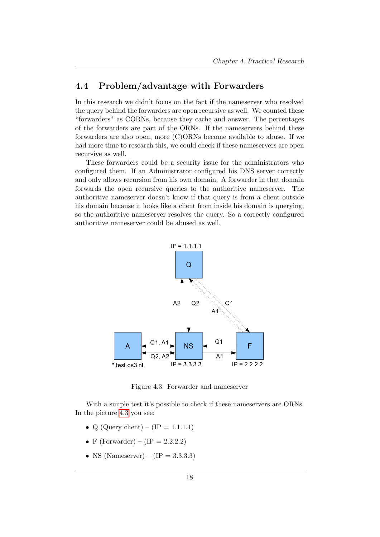#### <span id="page-19-0"></span>4.4 Problem/advantage with Forwarders

In this research we didn't focus on the fact if the nameserver who resolved the query behind the forwarders are open recursive as well. We counted these "forwarders" as CORNs, because they cache and answer. The percentages of the forwarders are part of the ORNs. If the nameservers behind these forwarders are also open, more (C)ORNs become available to abuse. If we had more time to research this, we could check if these nameservers are open recursive as well.

These forwarders could be a security issue for the administrators who configured them. If an Administrator configured his DNS server correctly and only allows recursion from his own domain. A forwarder in that domain forwards the open recursive queries to the authoritive nameserver. The authoritive nameserver doesn't know if that query is from a client outside his domain because it looks like a client from inside his domain is querying, so the authoritive nameserver resolves the query. So a correctly configured authoritive nameserver could be abused as well.



<span id="page-19-1"></span>Figure 4.3: Forwarder and nameserver

With a simple test it's possible to check if these nameservers are ORNs. In the picture [4.3](#page-19-1) you see:

- Q (Query client)  $(\text{IP} = 1.1.1.1)$
- F (Forwarder) (IP = 2.2.2.2)
- NS (Nameserver)  $(IP = 3.3.3.3)$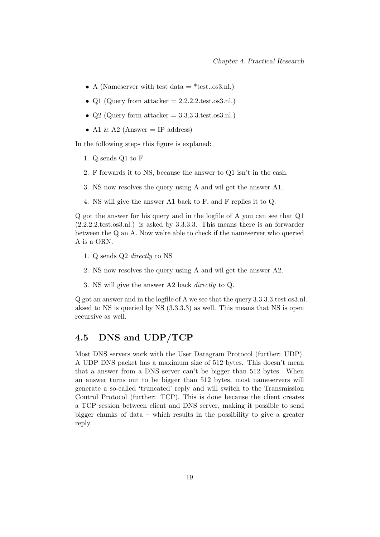- A (Nameserver with test data  $=$  \*test..os3.nl.)
- Q1 (Query from attacker  $= 2.2.2.2$ .test.os3.nl.)
- $Q2$  (Query form attacker = 3.3.3.3.test.os3.nl.)
- A1 & A2 (Answer = IP address)

In the following steps this figure is explaned:

- 1. Q sends Q1 to F
- 2. F forwards it to NS, because the answer to Q1 isn't in the cash.
- 3. NS now resolves the query using A and wil get the answer A1.
- 4. NS will give the answer A1 back to F, and F replies it to Q.

Q got the answer for his query and in the logfile of A you can see that Q1 (2.2.2.2.test.os3.nl.) is asked by 3.3.3.3. This means there is an forwarder between the Q an A. Now we're able to check if the nameserver who queried A is a ORN.

- 1. Q sends Q2 directly to NS
- 2. NS now resolves the query using A and wil get the answer A2.
- 3. NS will give the answer A2 back directly to Q.

Q got an answer and in the logfile of A we see that the query 3.3.3.3.test.os3.nl. aksed to NS is queried by NS (3.3.3.3) as well. This means that NS is open recursive as well.

## <span id="page-20-0"></span>4.5 DNS and UDP/TCP

Most DNS servers work with the User Datagram Protocol (further: UDP). A UDP DNS packet has a maximum size of 512 bytes. This doesn't mean that a answer from a DNS server can't be bigger than 512 bytes. When an answer turns out to be bigger than 512 bytes, most nameservers will generate a so-called 'truncated' reply and will switch to the Transmission Control Protocol (further: TCP). This is done because the client creates a TCP session between client and DNS server, making it possible to send bigger chunks of data – which results in the possibility to give a greater reply.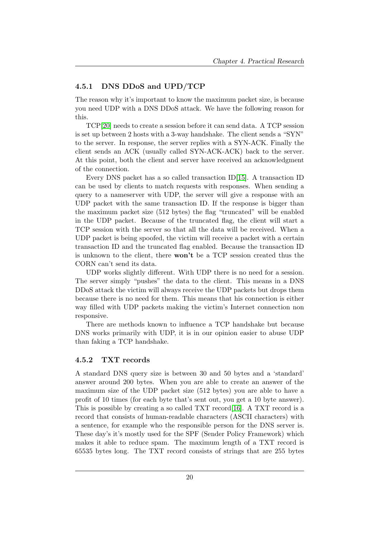#### <span id="page-21-0"></span>4.5.1 DNS DDoS and UPD/TCP

The reason why it's important to know the maximum packet size, is because you need UDP with a DNS DDoS attack. We have the following reason for this.

TCP[\[20\]](#page-35-0) needs to create a session before it can send data. A TCP session is set up between 2 hosts with a 3-way handshake. The client sends a "SYN" to the server. In response, the server replies with a SYN-ACK. Finally the client sends an ACK (usually called SYN-ACK-ACK) back to the server. At this point, both the client and server have received an acknowledgment of the connection.

Every DNS packet has a so called transaction ID[\[15\]](#page-35-1). A transaction ID can be used by clients to match requests with responses. When sending a query to a nameserver with UDP, the server will give a response with an UDP packet with the same transaction ID. If the response is bigger than the maximum packet size (512 bytes) the flag "truncated" will be enabled in the UDP packet. Because of the truncated flag, the client will start a TCP session with the server so that all the data will be received. When a UDP packet is being spoofed, the victim will receive a packet with a certain transaction ID and the truncated flag enabled. Because the transaction ID is unknown to the client, there won't be a TCP session created thus the CORN can't send its data.

UDP works slightly different. With UDP there is no need for a session. The server simply "pushes" the data to the client. This means in a DNS DDoS attack the victim will always receive the UDP packets but drops them because there is no need for them. This means that his connection is either way filled with UDP packets making the victim's Internet connection non responsive.

There are methods known to influence a TCP handshake but because DNS works primarily with UDP, it is in our opinion easier to abuse UDP than faking a TCP handshake.

#### <span id="page-21-1"></span>4.5.2 TXT records

A standard DNS query size is between 30 and 50 bytes and a 'standard' answer around 200 bytes. When you are able to create an answer of the maximum size of the UDP packet size (512 bytes) you are able to have a profit of 10 times (for each byte that's sent out, you get a 10 byte answer). This is possible by creating a so called TXT record[\[16\]](#page-35-2). A TXT record is a record that consists of human-readable characters (ASCII characters) with a sentence, for example who the responsible person for the DNS server is. These day's it's mostly used for the SPF (Sender Policy Framework) which makes it able to reduce spam. The maximum length of a TXT record is 65535 bytes long. The TXT record consists of strings that are 255 bytes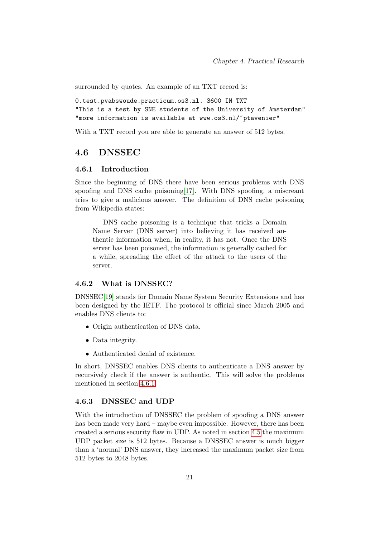surrounded by quotes. An example of an TXT record is:

```
0.test.pvabswoude.practicum.os3.nl. 3600 IN TXT
"This is a test by SNE students of the University of Amsterdam"
"more information is available at www.os3.nl/~ptavenier"
```
With a TXT record you are able to generate an answer of 512 bytes.

## <span id="page-22-0"></span>4.6 DNSSEC

#### <span id="page-22-1"></span>4.6.1 Introduction

Since the beginning of DNS there have been serious problems with DNS spoofing and DNS cache poisoning[\[17\]](#page-35-3). With DNS spoofing, a miscreant tries to give a malicious answer. The definition of DNS cache poisoning from Wikipedia states:

DNS cache poisoning is a technique that tricks a Domain Name Server (DNS server) into believing it has received authentic information when, in reality, it has not. Once the DNS server has been poisoned, the information is generally cached for a while, spreading the effect of the attack to the users of the server.

#### <span id="page-22-2"></span>4.6.2 What is DNSSEC?

DNSSEC[\[19\]](#page-35-4) stands for Domain Name System Security Extensions and has been designed by the IETF. The protocol is official since March 2005 and enables DNS clients to:

- Origin authentication of DNS data.
- Data integrity.
- Authenticated denial of existence.

In short, DNSSEC enables DNS clients to authenticate a DNS answer by recursively check if the answer is authentic. This will solve the problems mentioned in section [4.6.1.](#page-22-1)

#### <span id="page-22-3"></span>4.6.3 DNSSEC and UDP

With the introduction of DNSSEC the problem of spoofing a DNS answer has been made very hard – maybe even impossible. However, there has been created a serious security flaw in UDP. As noted in section [4.5](#page-20-0) the maximum UDP packet size is 512 bytes. Because a DNSSEC answer is much bigger than a 'normal' DNS answer, they increased the maximum packet size from 512 bytes to 2048 bytes.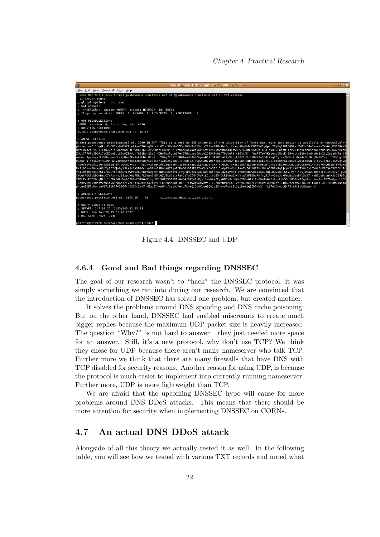

Figure 4.4: DNSSEC and UDP

#### <span id="page-23-0"></span>4.6.4 Good and Bad things regarding DNSSEC

The goal of our research wasn't to "hack" the DNSSEC protocol, it was simply something we ran into during our research. We are convinced that the introduction of DNSSEC has solved one problem, but created another.

It solves the problems around DNS spoofing and DNS cache poisoning. But on the other hand, DNSSEC had enabled miscreants to create much bigger replies because the maximum UDP packet size is heavily increased. The question "Why?" is not hard to answer – they just needed more space for an answer. Still, it's a new protocol, why don't use TCP? We think they chose for UDP because there aren't many nameserver who talk TCP. Further more we think that there are many firewalls that have DNS with TCP disabled for security reasons. Another reason for using UDP, is because the protocol is much easier to implement into currently running nameserver. Further more, UDP is more lightweight than TCP.

We are afraid that the upcoming DNSSEC hype will cause for more problems around DNS DDoS attacks. This means that there should be more attention for security when implementing DNSSEC on CORNs.

### <span id="page-23-1"></span>4.7 An actual DNS DDoS attack

Alongside of all this theory we actually tested it as well. In the following table, you will see how we tested with various TXT records and noted what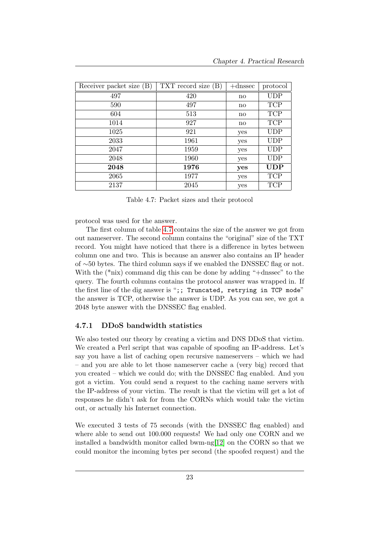| Receiver packet size (B) | $\text{TXT}$ record size $(B)$ | $+$ dnssec | protocol   |
|--------------------------|--------------------------------|------------|------------|
| 497                      | 420                            | no         | <b>UDP</b> |
| 590                      | 497                            | no         | <b>TCP</b> |
| 604                      | 513                            | no         | <b>TCP</b> |
| 1014                     | 927                            | no         | <b>TCP</b> |
| 1025                     | 921                            | yes        | UDP        |
| 2033                     | 1961                           | yes        | UDP        |
| 2047                     | 1959                           | yes        | <b>UDP</b> |
| 2048                     | 1960                           | yes        | UDP        |
| 2048                     | 1976                           | yes        | UDP        |
| 2065                     | 1977                           | yes        | <b>TCP</b> |
| 2137                     | 2045                           | yes        | TCP        |

<span id="page-24-1"></span>Table 4.7: Packet sizes and their protocol

protocol was used for the answer.

The first column of table [4.7](#page-24-1) contains the size of the answer we got from out nameserver. The second column contains the "original" size of the TXT record. You might have noticed that there is a difference in bytes between column one and two. This is because an answer also contains an IP header of ∼50 bytes. The third column says if we enabled the DNSSEC flag or not. With the  $(*nix)$  command dig this can be done by adding " $+$ dnssec" to the query. The fourth columns contains the protocol answer was wrapped in. If the first line of the dig answer is ";; Truncated, retrying in TCP mode" the answer is TCP, otherwise the answer is UDP. As you can see, we got a 2048 byte answer with the DNSSEC flag enabled.

#### <span id="page-24-0"></span>4.7.1 DDoS bandwidth statistics

We also tested our theory by creating a victim and DNS DDoS that victim. We created a Perl script that was capable of spoofing an IP-address. Let's say you have a list of caching open recursive nameservers – which we had – and you are able to let those nameserver cache a (very big) record that you created – which we could do; with the DNSSEC flag enabled. And you got a victim. You could send a request to the caching name servers with the IP-address of your victim. The result is that the victim will get a lot of responses he didn't ask for from the CORNs which would take the victim out, or actually his Internet connection.

We executed 3 tests of 75 seconds (with the DNSSEC flag enabled) and where able to send out 100.000 requests! We had only one CORN and we installed a bandwidth monitor called bwm-ng[\[12\]](#page-34-11) on the CORN so that we could monitor the incoming bytes per second (the spoofed request) and the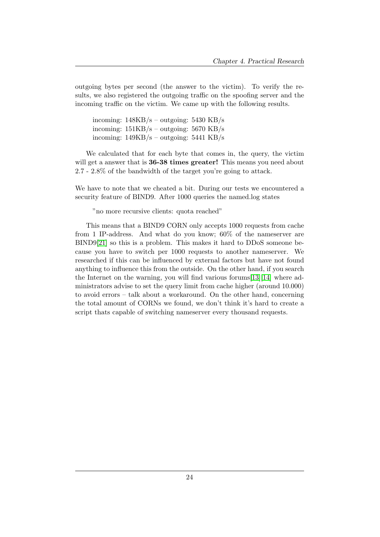outgoing bytes per second (the answer to the victim). To verify the results, we also registered the outgoing traffic on the spoofing server and the incoming traffic on the victim. We came up with the following results.

incoming: 148KB/s – outgoing: 5430 KB/s incoming: 151KB/s – outgoing: 5670 KB/s incoming:  $149KB/s - outgoing: 5441 KB/s$ 

We calculated that for each byte that comes in, the query, the victim will get a answer that is 36-38 times greater! This means you need about 2.7 - 2.8% of the bandwidth of the target you're going to attack.

We have to note that we cheated a bit. During our tests we encountered a security feature of BIND9. After 1000 queries the named.log states

#### "no more recursive clients: quota reached"

This means that a BIND9 CORN only accepts 1000 requests from cache from 1 IP-address. And what do you know; 60% of the nameserver are BIND9[\[21\]](#page-35-5) so this is a problem. This makes it hard to DDoS someone because you have to switch per 1000 requests to another nameserver. We researched if this can be influenced by external factors but have not found anything to influence this from the outside. On the other hand, if you search the Internet on the warning, you will find various forums[\[13\]](#page-35-6)[\[14\]](#page-35-7) where administrators advise to set the query limit from cache higher (around 10.000) to avoid errors – talk about a workaround. On the other hand, concerning the total amount of CORNs we found, we don't think it's hard to create a script thats capable of switching nameserver every thousand requests.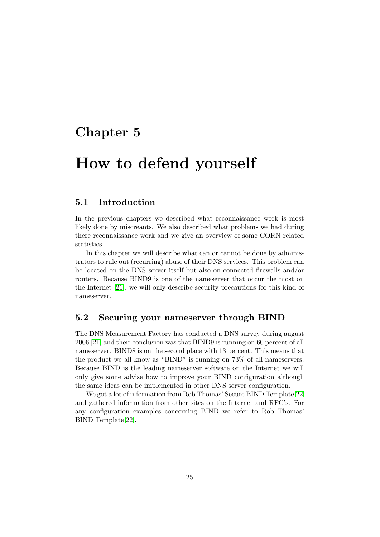# <span id="page-26-0"></span>Chapter 5

# How to defend yourself

#### <span id="page-26-1"></span>5.1 Introduction

In the previous chapters we described what reconnaissance work is most likely done by miscreants. We also described what problems we had during there reconnaissance work and we give an overview of some CORN related statistics.

In this chapter we will describe what can or cannot be done by administrators to rule out (recurring) abuse of their DNS services. This problem can be located on the DNS server itself but also on connected firewalls and/or routers. Because BIND9 is one of the nameserver that occur the most on the Internet [\[21\]](#page-35-5), we will only describe security precautions for this kind of nameserver.

### <span id="page-26-2"></span>5.2 Securing your nameserver through BIND

The DNS Measurement Factory has conducted a DNS survey during august 2006 [\[21\]](#page-35-5) and their conclusion was that BIND9 is running on 60 percent of all nameserver. BIND8 is on the second place with 13 percent. This means that the product we all know as "BIND" is running on 73% of all nameservers. Because BIND is the leading nameserver software on the Internet we will only give some advise how to improve your BIND configuration although the same ideas can be implemented in other DNS server configuration.

We got a lot of information from Rob Thomas' Secure BIND Template[\[22\]](#page-35-8) and gathered information from other sites on the Internet and RFC's. For any configuration examples concerning BIND we refer to Rob Thomas' BIND Template[\[22\]](#page-35-8).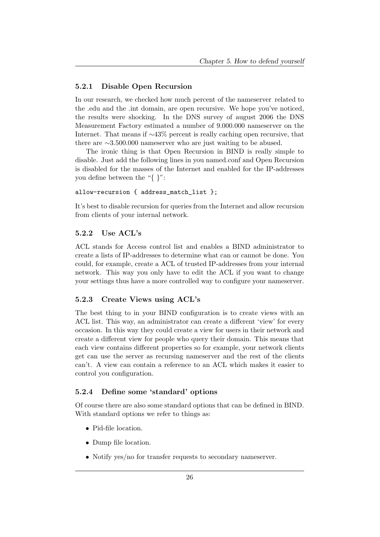#### <span id="page-27-0"></span>5.2.1 Disable Open Recursion

In our research, we checked how much percent of the nameserver related to the .edu and the .int domain, are open recursive. We hope you've noticed, the results were shocking. In the DNS survey of august 2006 the DNS Measurement Factory estimated a number of 9.000.000 nameserver on the Internet. That means if ∼43% percent is really caching open recursive, that there are ∼3.500.000 nameserver who are just waiting to be abused.

The ironic thing is that Open Recursion in BIND is really simple to disable. Just add the following lines in you named.conf and Open Recursion is disabled for the masses of the Internet and enabled for the IP-addresses you define between the "{ }":

#### allow-recursion { address\_match\_list };

It's best to disable recursion for queries from the Internet and allow recursion from clients of your internal network.

#### <span id="page-27-1"></span>5.2.2 Use ACL's

ACL stands for Access control list and enables a BIND administrator to create a lists of IP-addresses to determine what can or cannot be done. You could, for example, create a ACL of trusted IP-addresses from your internal network. This way you only have to edit the ACL if you want to change your settings thus have a more controlled way to configure your nameserver.

#### <span id="page-27-2"></span>5.2.3 Create Views using ACL's

The best thing to in your BIND configuration is to create views with an ACL list. This way, an administrator can create a different 'view' for every occasion. In this way they could create a view for users in their network and create a different view for people who query their domain. This means that each view contains different properties so for example, your network clients get can use the server as recursing nameserver and the rest of the clients can't. A view can contain a reference to an ACL which makes it easier to control you configuration.

#### <span id="page-27-3"></span>5.2.4 Define some 'standard' options

Of course there are also some standard options that can be defined in BIND. With standard options we refer to things as:

- Pid-file location.
- Dump file location.
- Notify yes/no for transfer requests to secondary nameserver.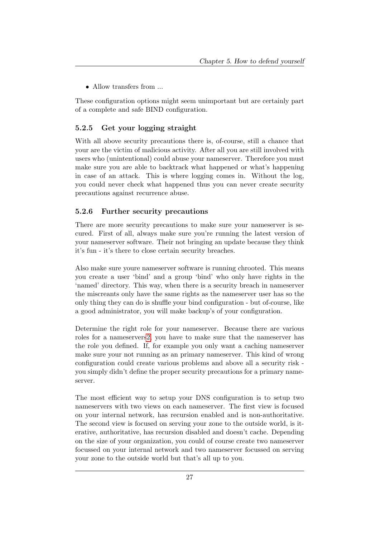• Allow transfers from ...

These configuration options might seem unimportant but are certainly part of a complete and safe BIND configuration.

#### <span id="page-28-0"></span>5.2.5 Get your logging straight

With all above security precautions there is, of-course, still a chance that your are the victim of malicious activity. After all you are still involved with users who (unintentional) could abuse your nameserver. Therefore you must make sure you are able to backtrack what happened or what's happening in case of an attack. This is where logging comes in. Without the log, you could never check what happened thus you can never create security precautions against recurrence abuse.

#### <span id="page-28-1"></span>5.2.6 Further security precautions

There are more security precautions to make sure your nameserver is secured. First of all, always make sure you're running the latest version of your nameserver software. Their not bringing an update because they think it's fun - it's there to close certain security breaches.

Also make sure youre nameserver software is running chrooted. This means you create a user 'bind' and a group 'bind' who only have rights in the 'named' directory. This way, when there is a security breach in nameserver the miscreants only have the same rights as the nameserver user has so the only thing they can do is shuffle your bind configuration - but of-course, like a good administrator, you will make backup's of your configuration.

Determine the right role for your nameserver. Because there are various roles for a nameserver[s2,](#page-8-0) you have to make sure that the nameserver has the role you defined. If, for example you only want a caching nameserver make sure your not running as an primary nameserver. This kind of wrong configuration could create various problems and above all a security risk you simply didn't define the proper security precautions for a primary nameserver.

The most efficient way to setup your DNS configuration is to setup two nameservers with two views on each nameserver. The first view is focused on your internal network, has recursion enabled and is non-authoritative. The second view is focused on serving your zone to the outside world, is iterative, authoritative, has recursion disabled and doesn't cache. Depending on the size of your organization, you could of course create two nameserver focussed on your internal network and two nameserver focussed on serving your zone to the outside world but that's all up to you.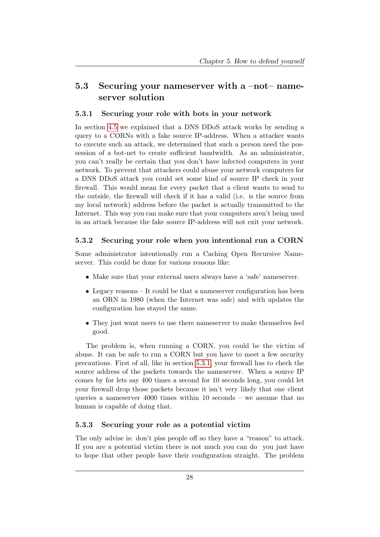# <span id="page-29-0"></span>5.3 Securing your nameserver with a –not– nameserver solution

#### <span id="page-29-1"></span>5.3.1 Securing your role with bots in your network

In section [4.5](#page-20-0) we explained that a DNS DDoS attack works by sending a query to a CORNs with a fake source IP-address. When a attacker wants to execute such an attack, we determined that such a person need the possession of a bot-net to create sufficient bandwidth. As an administrator, you can't really be certain that you don't have infected computers in your network. To prevent that attackers could abuse your network computers for a DNS DDoS attack you could set some kind of source IP check in your firewall. This would mean for every packet that a client wants to send to the outside, the firewall will check if it has a valid (i.e. is the source from my local network) address before the packet is actually transmitted to the Internet. This way you can make sure that your computers aren't being used in an attack because the fake source IP-address will not exit your network.

#### <span id="page-29-2"></span>5.3.2 Securing your role when you intentional run a CORN

Some administrator intentionally run a Caching Open Recursive Nameserver. This could be done for various reasons like:

- Make sure that your external users always have a 'safe' nameserver.
- Legacy reasons It could be that a name erver configuration has been an ORN in 1980 (when the Internet was safe) and with updates the configuration has stayed the same.
- They just want users to use there nameserver to make themselves feel good.

The problem is, when running a CORN, you could be the victim of abuse. It can be safe to run a CORN but you have to meet a few security precautions. First of all, like in section [5.3.1,](#page-29-1) your firewall has to check the source address of the packets towards the nameserver. When a source IP comes by for lets say 400 times a second for 10 seconds long, you could let your firewall drop those packets because it isn't very likely that one client queries a nameserver  $4000$  times within 10 seconds – we assume that no human is capable of doing that.

### <span id="page-29-3"></span>5.3.3 Securing your role as a potential victim

The only advise is: don't piss people off so they have a "reason" to attack. If you are a potential victim there is not much you can do you just have to hope that other people have their configuration straight. The problem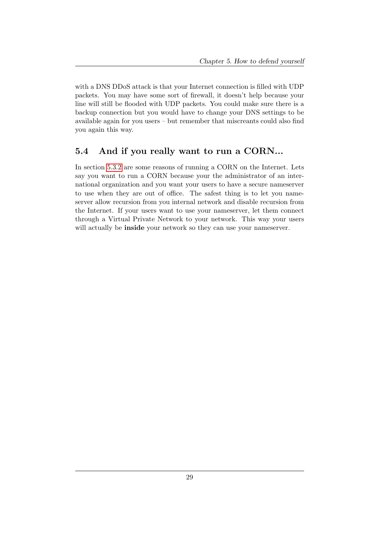with a DNS DDoS attack is that your Internet connection is filled with UDP packets. You may have some sort of firewall, it doesn't help because your line will still be flooded with UDP packets. You could make sure there is a backup connection but you would have to change your DNS settings to be available again for you users – but remember that miscreants could also find you again this way.

## <span id="page-30-0"></span>5.4 And if you really want to run a CORN...

In section [5.3.2](#page-29-2) are some reasons of running a CORN on the Internet. Lets say you want to run a CORN because your the administrator of an international organization and you want your users to have a secure nameserver to use when they are out of office. The safest thing is to let you nameserver allow recursion from you internal network and disable recursion from the Internet. If your users want to use your nameserver, let them connect through a Virtual Private Network to your network. This way your users will actually be **inside** your network so they can use your nameserver.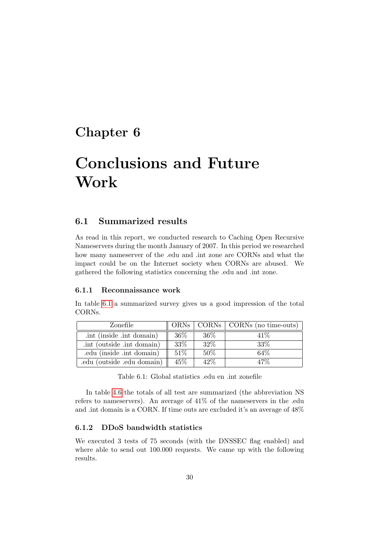# <span id="page-31-0"></span>Chapter 6

# Conclusions and Future Work

## <span id="page-31-1"></span>6.1 Summarized results

As read in this report, we conducted research to Caching Open Recursive Nameservers during the month January of 2007. In this period we researched how many nameserver of the .edu and .int zone are CORNs and what the impact could be on the Internet society when CORNs are abused. We gathered the following statistics concerning the .edu and .int zone.

#### <span id="page-31-2"></span>6.1.1 Reconnaissance work

In table [6.1](#page-31-4) a summarized survey gives us a good impression of the total CORNs.

| Zonefile                  |        |        | ORNs   CORNs   CORNs (no time-outs) |
|---------------------------|--------|--------|-------------------------------------|
| int (inside .int domain)  | 36\%   | $36\%$ | $41\%$                              |
| int (outside .int domain) | 33%    | 32\%   | 33%                                 |
| .edu (inside .int domain) | $51\%$ | 50%    | 64\%                                |
| edu (outside edu domain)  | 45\%   | 42\%   | 47\%                                |

<span id="page-31-4"></span>Table 6.1: Global statistics .edu en .int zonefile

In table [4.6](#page-18-3) the totals of all test are summarized (the abbreviation NS refers to nameservers). An average of 41% of the nameservers in the .edu and .int domain is a CORN. If time outs are excluded it's an average of 48%

#### <span id="page-31-3"></span>6.1.2 DDoS bandwidth statistics

We executed 3 tests of 75 seconds (with the DNSSEC flag enabled) and where able to send out 100.000 requests. We came up with the following results.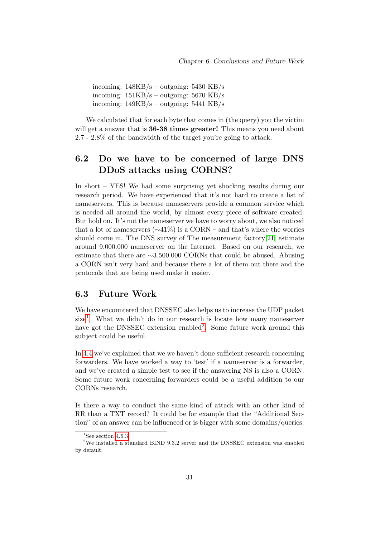incoming: 148KB/s – outgoing: 5430 KB/s incoming: 151KB/s – outgoing: 5670 KB/s incoming: 149KB/s – outgoing: 5441 KB/s

We calculated that for each byte that comes in (the query) you the victim will get a answer that is 36-38 times greater! This means you need about 2.7 - 2.8% of the bandwidth of the target you're going to attack.

# <span id="page-32-0"></span>6.2 Do we have to be concerned of large DNS DDoS attacks using CORNS?

In short – YES! We had some surprising yet shocking results during our research period. We have experienced that it's not hard to create a list of nameservers. This is because nameservers provide a common service which is needed all around the world, by almost every piece of software created. But hold on. It's not the nameserver we have to worry about, we also noticed that a lot of nameservers ( $\sim$ 41%) is a CORN – and that's where the worries should come in. The DNS survey of The measurement factory[\[21\]](#page-35-5) estimate around 9.000.000 nameserver on the Internet. Based on our research, we estimate that there are ∼3.500.000 CORNs that could be abused. Abusing a CORN isn't very hard and because there a lot of them out there and the protocols that are being used make it easier.

#### <span id="page-32-1"></span>6.3 Future Work

We have encountered that DNSSEC also helps us to increase the UDP packet size<sup>[1](#page-32-2)</sup>. What we didn't do in our research is locate how many nameserver have got the DNSSEC extension enabled<sup>[2](#page-32-3)</sup>. Some future work around this subject could be useful.

In [4.4](#page-19-0) we've explained that we we haven't done sufficient research concerning forwarders. We have worked a way to 'test' if a nameserver is a forwarder, and we've created a simple test to see if the answering NS is also a CORN. Some future work concerning forwarders could be a useful addition to our CORNs research.

Is there a way to conduct the same kind of attack with an other kind of RR than a TXT record? It could be for example that the "Additional Section" of an answer can be influenced or is bigger with some domains/queries.

<span id="page-32-3"></span><span id="page-32-2"></span><sup>&</sup>lt;sup>1</sup>See section  $4.6.3$ 

 $2$ We installed a standard BIND 9.3.2 server and the DNSSEC extension was enabled by default.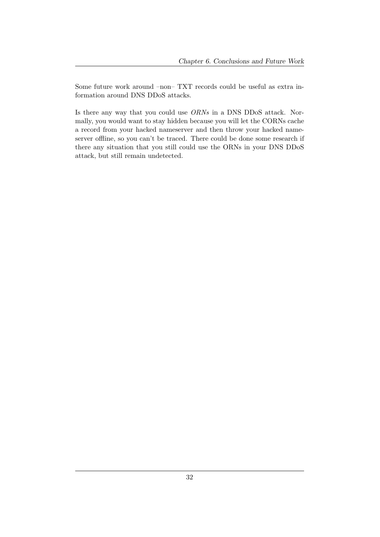Some future work around –non– TXT records could be useful as extra information around DNS DDoS attacks.

Is there any way that you could use ORNs in a DNS DDoS attack. Normally, you would want to stay hidden because you will let the CORNs cache a record from your hacked nameserver and then throw your hacked nameserver offline, so you can't be traced. There could be done some research if there any situation that you still could use the ORNs in your DNS DDoS attack, but still remain undetected.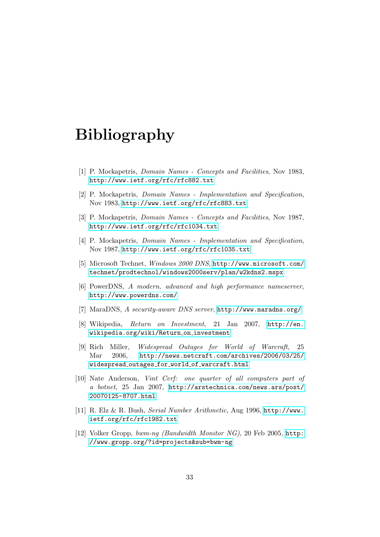# Bibliography

- <span id="page-34-0"></span>[1] P. Mockapetris, *Domain Names - Concepts and Facilities*, Nov 1983, <http://www.ietf.org/rfc/rfc882.txt>
- <span id="page-34-1"></span>[2] P. Mockapetris, Domain Names - Implementation and Specification, Nov 1983, <http://www.ietf.org/rfc/rfc883.txt>
- <span id="page-34-2"></span>[3] P. Mockapetris, Domain Names - Concepts and Facilities, Nov 1987, <http://www.ietf.org/rfc/rfc1034.txt>
- <span id="page-34-3"></span>[4] P. Mockapetris, *Domain Names - Implementation and Specification*, Nov 1987, <http://www.ietf.org/rfc/rfc1035.txt>
- <span id="page-34-4"></span>[5] Microsoft Technet, Windows 2000 DNS, [http://www.microsoft.com/](http://www.microsoft.com/technet/prodtechnol/windows2000serv/plan/w2kdns2.mspx) [technet/prodtechnol/windows2000serv/plan/w2kdns2.mspx](http://www.microsoft.com/technet/prodtechnol/windows2000serv/plan/w2kdns2.mspx)
- <span id="page-34-5"></span>[6] PowerDNS, A modern, advanced and high performance nameserver, <http://www.powerdns.com/>
- <span id="page-34-6"></span>[7] MaraDNS, A security-aware DNS server, <http://www.maradns.org/>
- <span id="page-34-8"></span>[8] Wikipedia, Return on Investment, 21 Jan 2007, [http://en.](http://en.wikipedia.org/wiki/Return_on_investment) [wikipedia.org/wiki/Return](http://en.wikipedia.org/wiki/Return_on_investment)\_on\_investment
- <span id="page-34-9"></span>[9] Rich Miller, Widespread Outages for World of Warcraft, 25 Mar 2006, [http://news.netcraft.com/archives/2006/03/25/](http://news.netcraft.com/archives/2006/03/25/widespread_outages_for_world_of_warcraft.html) widespread outages for world of [warcraft.html](http://news.netcraft.com/archives/2006/03/25/widespread_outages_for_world_of_warcraft.html)
- <span id="page-34-7"></span>[10] Nate Anderson, Vint Cerf: one quarter of all computers part of a botnet, 25 Jan 2007, [http://arstechnica.com/news.ars/post/](http://arstechnica.com/news.ars/post/20070125-8707.html) [20070125-8707.html](http://arstechnica.com/news.ars/post/20070125-8707.html)
- <span id="page-34-10"></span>[11] R. Elz & R. Bush, Serial Number Arithmetic, Aug 1996, [http://www.](http://www.ietf.org/rfc/rfc1982.txt) [ietf.org/rfc/rfc1982.txt](http://www.ietf.org/rfc/rfc1982.txt)
- <span id="page-34-11"></span>[12] Volker Gropp, bwm-ng (Bandwidth Monitor NG), 20 Feb 2005, [http:](http://www.gropp.org/?id=projects&sub=bwm-ng) [//www.gropp.org/?id=projects&sub=bwm-ng](http://www.gropp.org/?id=projects&sub=bwm-ng)